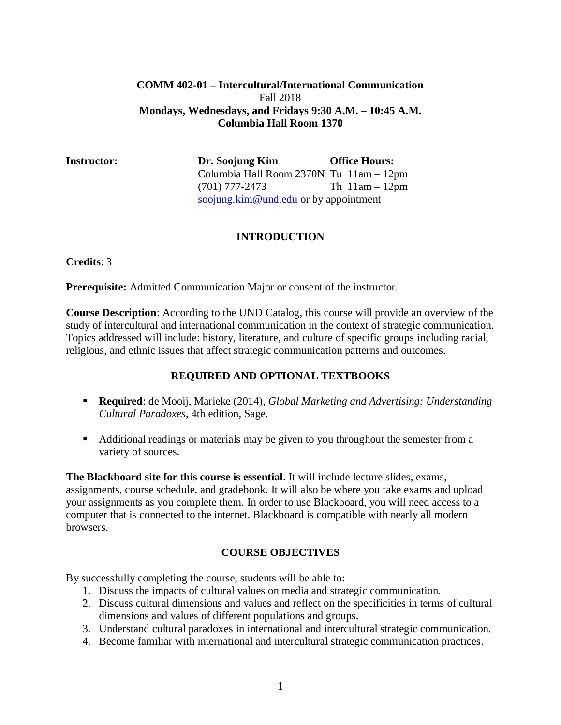#### **COMM 402-01 – Intercultural/International Communication** Fall 2018 **Mondays, Wednesdays, and Fridays 9:30 A.M. – 10:45 A.M. Columbia Hall Room 1370**

**Instructor: Dr. Soojung Kim Office Hours:**  Columbia Hall Room 2370N Tu 11am – 12pm (701) 777-2473 Th 11am – 12pm [soojung.kim@und.edu](mailto:soojung.kim@und.edu) or by appointment

## **INTRODUCTION**

**Credits**: 3

**Prerequisite:** Admitted Communication Major or consent of the instructor.

**Course Description**: According to the UND Catalog, this course will provide an overview of the study of intercultural and international communication in the context of strategic communication. Topics addressed will include: history, literature, and culture of specific groups including racial, religious, and ethnic issues that affect strategic communication patterns and outcomes.

## **REQUIRED AND OPTIONAL TEXTBOOKS**

- **Required**: de Mooij, Marieke (2014), *Global Marketing and Advertising: Understanding Cultural Paradoxes*, 4th edition, Sage.
- Additional readings or materials may be given to you throughout the semester from a variety of sources.

**The Blackboard site for this course is essential**. It will include lecture slides, exams, assignments, course schedule, and gradebook. It will also be where you take exams and upload your assignments as you complete them. In order to use Blackboard, you will need access to a computer that is connected to the internet. Blackboard is compatible with nearly all modern browsers.

## **COURSE OBJECTIVES**

By successfully completing the course, students will be able to:

- 1. Discuss the impacts of cultural values on media and strategic communication.
- 2. Discuss cultural dimensions and values and reflect on the specificities in terms of cultural dimensions and values of different populations and groups.
- 3. Understand cultural paradoxes in international and intercultural strategic communication.
- 4. Become familiar with international and intercultural strategic communication practices.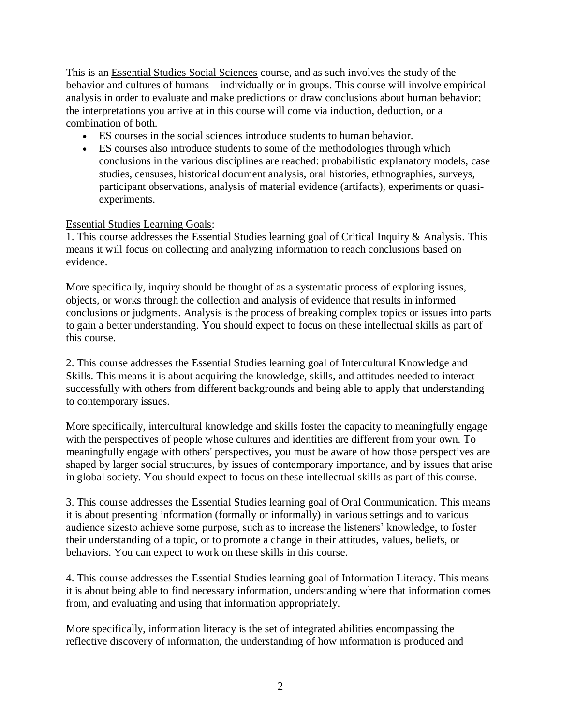This is an Essential Studies Social Sciences course, and as such involves the study of the behavior and cultures of humans – individually or in groups. This course will involve empirical analysis in order to evaluate and make predictions or draw conclusions about human behavior; the interpretations you arrive at in this course will come via induction, deduction, or a combination of both.

- ES courses in the social sciences introduce students to human behavior.
- ES courses also introduce students to some of the methodologies through which conclusions in the various disciplines are reached: probabilistic explanatory models, case studies, censuses, historical document analysis, oral histories, ethnographies, surveys, participant observations, analysis of material evidence (artifacts), experiments or quasiexperiments.

#### Essential Studies Learning Goals:

1. This course addresses the Essential Studies learning goal of Critical Inquiry & Analysis. This means it will focus on collecting and analyzing information to reach conclusions based on evidence.

More specifically, inquiry should be thought of as a systematic process of exploring issues, objects, or works through the collection and analysis of evidence that results in informed conclusions or judgments. Analysis is the process of breaking complex topics or issues into parts to gain a better understanding. You should expect to focus on these intellectual skills as part of this course.

2. This course addresses the Essential Studies learning goal of Intercultural Knowledge and Skills. This means it is about acquiring the knowledge, skills, and attitudes needed to interact successfully with others from different backgrounds and being able to apply that understanding to contemporary issues.

More specifically, intercultural knowledge and skills foster the capacity to meaningfully engage with the perspectives of people whose cultures and identities are different from your own. To meaningfully engage with others' perspectives, you must be aware of how those perspectives are shaped by larger social structures, by issues of contemporary importance, and by issues that arise in global society. You should expect to focus on these intellectual skills as part of this course.

3. This course addresses the Essential Studies learning goal of Oral Communication. This means it is about presenting information (formally or informally) in various settings and to various audience sizesto achieve some purpose, such as to increase the listeners' knowledge, to foster their understanding of a topic, or to promote a change in their attitudes, values, beliefs, or behaviors. You can expect to work on these skills in this course.

4. This course addresses the Essential Studies learning goal of Information Literacy. This means it is about being able to find necessary information, understanding where that information comes from, and evaluating and using that information appropriately.

More specifically, information literacy is the set of integrated abilities encompassing the reflective discovery of information, the understanding of how information is produced and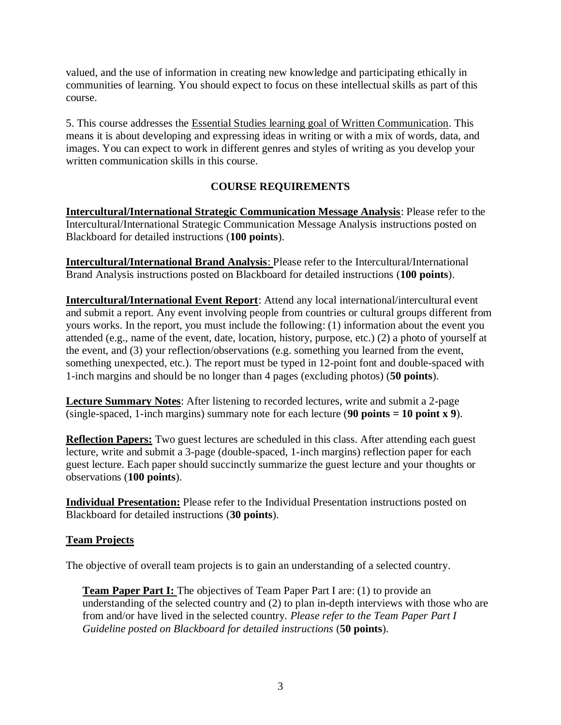valued, and the use of information in creating new knowledge and participating ethically in communities of learning. You should expect to focus on these intellectual skills as part of this course.

5. This course addresses the Essential Studies learning goal of Written Communication. This means it is about developing and expressing ideas in writing or with a mix of words, data, and images. You can expect to work in different genres and styles of writing as you develop your written communication skills in this course.

# **COURSE REQUIREMENTS**

**Intercultural/International Strategic Communication Message Analysis**: Please refer to the Intercultural/International Strategic Communication Message Analysis instructions posted on Blackboard for detailed instructions (**100 points**).

**Intercultural/International Brand Analysis**: Please refer to the Intercultural/International Brand Analysis instructions posted on Blackboard for detailed instructions (**100 points**).

**Intercultural/International Event Report**: Attend any local international/intercultural event and submit a report. Any event involving people from countries or cultural groups different from yours works. In the report, you must include the following: (1) information about the event you attended (e.g., name of the event, date, location, history, purpose, etc.) (2) a photo of yourself at the event, and (3) your reflection/observations (e.g. something you learned from the event, something unexpected, etc.). The report must be typed in 12-point font and double-spaced with 1-inch margins and should be no longer than 4 pages (excluding photos) (**50 points**).

**Lecture Summary Notes**: After listening to recorded lectures, write and submit a 2-page (single-spaced, 1-inch margins) summary note for each lecture (**90 points = 10 point x 9**).

**Reflection Papers:** Two guest lectures are scheduled in this class. After attending each guest lecture, write and submit a 3-page (double-spaced, 1-inch margins) reflection paper for each guest lecture. Each paper should succinctly summarize the guest lecture and your thoughts or observations (**100 points**).

**Individual Presentation:** Please refer to the Individual Presentation instructions posted on Blackboard for detailed instructions (**30 points**).

## **Team Projects**

The objective of overall team projects is to gain an understanding of a selected country.

**Team Paper Part I:** The objectives of Team Paper Part I are: (1) to provide an understanding of the selected country and (2) to plan in-depth interviews with those who are from and/or have lived in the selected country. *Please refer to the Team Paper Part I Guideline posted on Blackboard for detailed instructions* (**50 points**).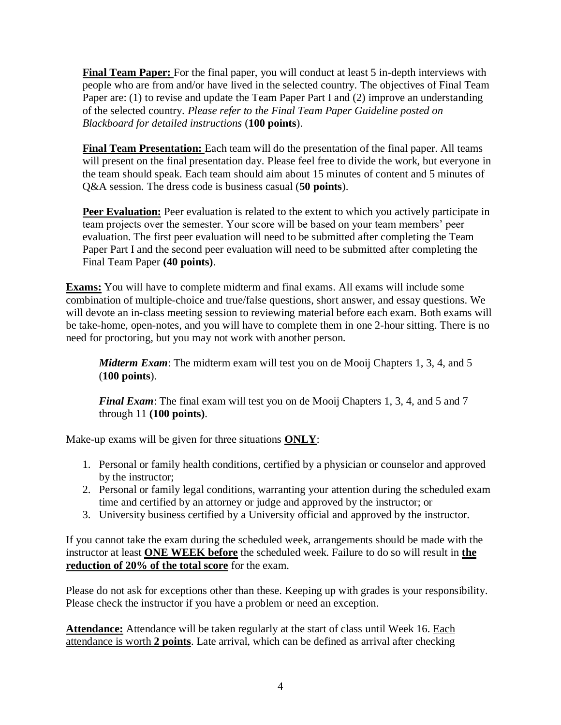**Final Team Paper:** For the final paper, you will conduct at least 5 in-depth interviews with people who are from and/or have lived in the selected country. The objectives of Final Team Paper are: (1) to revise and update the Team Paper Part I and (2) improve an understanding of the selected country. *Please refer to the Final Team Paper Guideline posted on Blackboard for detailed instructions* (**100 points**).

**Final Team Presentation:** Each team will do the presentation of the final paper. All teams will present on the final presentation day. Please feel free to divide the work, but everyone in the team should speak. Each team should aim about 15 minutes of content and 5 minutes of Q&A session. The dress code is business casual (**50 points**).

**Peer Evaluation:** Peer evaluation is related to the extent to which you actively participate in team projects over the semester. Your score will be based on your team members' peer evaluation. The first peer evaluation will need to be submitted after completing the Team Paper Part I and the second peer evaluation will need to be submitted after completing the Final Team Paper **(40 points)**.

**Exams:** You will have to complete midterm and final exams. All exams will include some combination of multiple-choice and true/false questions, short answer, and essay questions. We will devote an in-class meeting session to reviewing material before each exam. Both exams will be take-home, open-notes, and you will have to complete them in one 2-hour sitting. There is no need for proctoring, but you may not work with another person.

*Midterm Exam*: The midterm exam will test you on de Mooij Chapters 1, 3, 4, and 5 (**100 points**).

*Final Exam*: The final exam will test you on de Mooij Chapters 1, 3, 4, and 5 and 7 through 11 **(100 points)**.

Make-up exams will be given for three situations **ONLY**:

- 1. Personal or family health conditions, certified by a physician or counselor and approved by the instructor;
- 2. Personal or family legal conditions, warranting your attention during the scheduled exam time and certified by an attorney or judge and approved by the instructor; or
- 3. University business certified by a University official and approved by the instructor.

If you cannot take the exam during the scheduled week, arrangements should be made with the instructor at least **ONE WEEK before** the scheduled week. Failure to do so will result in **the reduction of 20% of the total score** for the exam.

Please do not ask for exceptions other than these. Keeping up with grades is your responsibility. Please check the instructor if you have a problem or need an exception.

**Attendance:** Attendance will be taken regularly at the start of class until Week 16. Each attendance is worth **2 points**. Late arrival, which can be defined as arrival after checking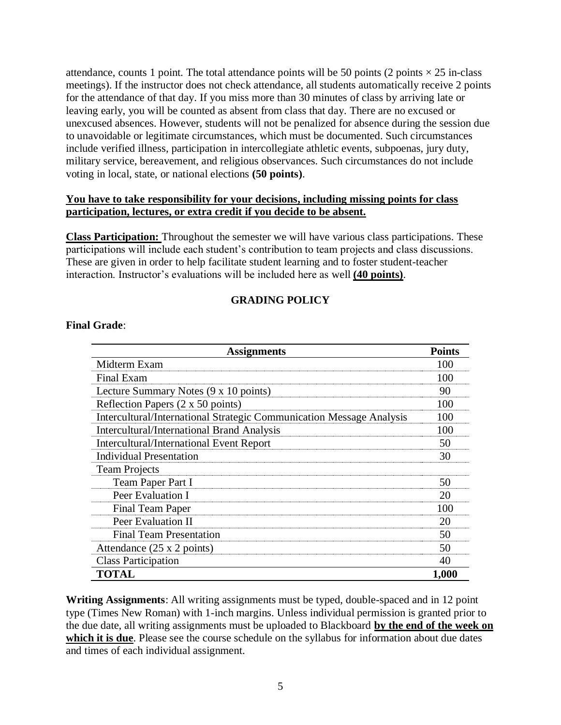attendance, counts 1 point. The total attendance points will be 50 points (2 points  $\times$  25 in-class meetings). If the instructor does not check attendance, all students automatically receive 2 points for the attendance of that day. If you miss more than 30 minutes of class by arriving late or leaving early, you will be counted as absent from class that day. There are no excused or unexcused absences. However, students will not be penalized for absence during the session due to unavoidable or legitimate circumstances, which must be documented. Such circumstances include verified illness, participation in intercollegiate athletic events, subpoenas, jury duty, military service, bereavement, and religious observances. Such circumstances do not include voting in local, state, or national elections **(50 points)**.

#### **You have to take responsibility for your decisions, including missing points for class participation, lectures, or extra credit if you decide to be absent.**

**Class Participation:** Throughout the semester we will have various class participations. These participations will include each student's contribution to team projects and class discussions. These are given in order to help facilitate student learning and to foster student-teacher interaction. Instructor's evaluations will be included here as well **(40 points)**.

# **GRADING POLICY**

#### **Final Grade**:

| <b>Assignments</b>                                                   | <b>Points</b> |
|----------------------------------------------------------------------|---------------|
| Midterm Exam                                                         | 100           |
| Final Exam                                                           | 100           |
| Lecture Summary Notes (9 x 10 points)                                | 90            |
| Reflection Papers (2 x 50 points)                                    | 100           |
| Intercultural/International Strategic Communication Message Analysis | 100           |
| <b>Intercultural/International Brand Analysis</b>                    | 100           |
| <b>Intercultural/International Event Report</b>                      | 50            |
| <b>Individual Presentation</b>                                       | 30            |
| <b>Team Projects</b>                                                 |               |
| Team Paper Part I                                                    | 50            |
| Peer Evaluation I                                                    | 20            |
| Final Team Paper                                                     | 100           |
| Peer Evaluation II                                                   | 20            |
| <b>Final Team Presentation</b>                                       | 50            |
| Attendance $(25 \times 2 \text{ points})$                            | 50            |
| <b>Class Participation</b>                                           | 40            |
| TOTAL                                                                | 1,000         |

**Writing Assignments**: All writing assignments must be typed, double-spaced and in 12 point type (Times New Roman) with 1-inch margins. Unless individual permission is granted prior to the due date, all writing assignments must be uploaded to Blackboard **by the end of the week on which it is due**. Please see the course schedule on the syllabus for information about due dates and times of each individual assignment.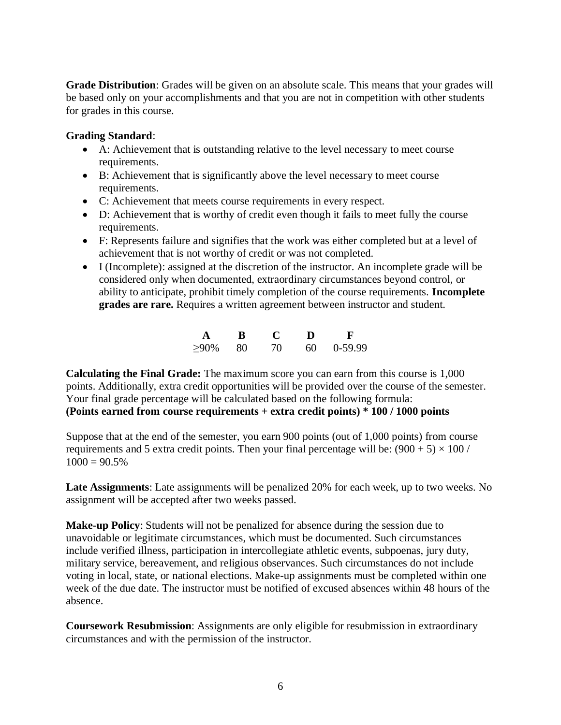**Grade Distribution**: Grades will be given on an absolute scale. This means that your grades will be based only on your accomplishments and that you are not in competition with other students for grades in this course.

#### **Grading Standard**:

- A: Achievement that is outstanding relative to the level necessary to meet course requirements.
- B: Achievement that is significantly above the level necessary to meet course requirements.
- C: Achievement that meets course requirements in every respect.
- D: Achievement that is worthy of credit even though it fails to meet fully the course requirements.
- F: Represents failure and signifies that the work was either completed but at a level of achievement that is not worthy of credit or was not completed.
- I (Incomplete): assigned at the discretion of the instructor. An incomplete grade will be considered only when documented, extraordinary circumstances beyond control, or ability to anticipate, prohibit timely completion of the course requirements. **Incomplete grades are rare.** Requires a written agreement between instructor and student.

| A       | R    |    | D    |         |
|---------|------|----|------|---------|
| $>90\%$ | - 80 | 70 | 60 - | 0-59.99 |

**Calculating the Final Grade:** The maximum score you can earn from this course is 1,000 points. Additionally, extra credit opportunities will be provided over the course of the semester. Your final grade percentage will be calculated based on the following formula: **(Points earned from course requirements + extra credit points) \* 100 / 1000 points**

Suppose that at the end of the semester, you earn 900 points (out of 1,000 points) from course requirements and 5 extra credit points. Then your final percentage will be:  $(900 + 5) \times 100$  /  $1000 = 90.5\%$ 

**Late Assignments**: Late assignments will be penalized 20% for each week, up to two weeks. No assignment will be accepted after two weeks passed.

**Make-up Policy**: Students will not be penalized for absence during the session due to unavoidable or legitimate circumstances, which must be documented. Such circumstances include verified illness, participation in intercollegiate athletic events, subpoenas, jury duty, military service, bereavement, and religious observances. Such circumstances do not include voting in local, state, or national elections. Make-up assignments must be completed within one week of the due date. The instructor must be notified of excused absences within 48 hours of the absence.

**Coursework Resubmission**: Assignments are only eligible for resubmission in extraordinary circumstances and with the permission of the instructor.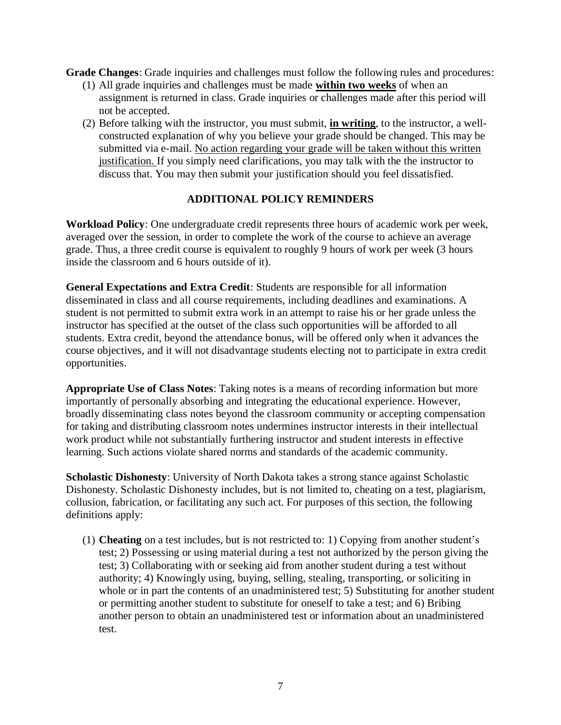**Grade Changes**: Grade inquiries and challenges must follow the following rules and procedures:

- (1) All grade inquiries and challenges must be made **within two weeks** of when an assignment is returned in class. Grade inquiries or challenges made after this period will not be accepted.
- (2) Before talking with the instructor, you must submit, **in writing**, to the instructor, a wellconstructed explanation of why you believe your grade should be changed. This may be submitted via e-mail. No action regarding your grade will be taken without this written justification. If you simply need clarifications, you may talk with the the instructor to discuss that. You may then submit your justification should you feel dissatisfied.

#### **ADDITIONAL POLICY REMINDERS**

**Workload Policy**: One undergraduate credit represents three hours of academic work per week, averaged over the session, in order to complete the work of the course to achieve an average grade. Thus, a three credit course is equivalent to roughly 9 hours of work per week (3 hours inside the classroom and 6 hours outside of it).

**General Expectations and Extra Credit**: Students are responsible for all information disseminated in class and all course requirements, including deadlines and examinations. A student is not permitted to submit extra work in an attempt to raise his or her grade unless the instructor has specified at the outset of the class such opportunities will be afforded to all students. Extra credit, beyond the attendance bonus, will be offered only when it advances the course objectives, and it will not disadvantage students electing not to participate in extra credit opportunities.

**Appropriate Use of Class Notes**: Taking notes is a means of recording information but more importantly of personally absorbing and integrating the educational experience. However, broadly disseminating class notes beyond the classroom community or accepting compensation for taking and distributing classroom notes undermines instructor interests in their intellectual work product while not substantially furthering instructor and student interests in effective learning. Such actions violate shared norms and standards of the academic community.

**Scholastic Dishonesty**: University of North Dakota takes a strong stance against Scholastic Dishonesty. Scholastic Dishonesty includes, but is not limited to, cheating on a test, plagiarism, collusion, fabrication, or facilitating any such act. For purposes of this section, the following definitions apply:

(1) **Cheating** on a test includes, but is not restricted to: 1) Copying from another student's test; 2) Possessing or using material during a test not authorized by the person giving the test; 3) Collaborating with or seeking aid from another student during a test without authority; 4) Knowingly using, buying, selling, stealing, transporting, or soliciting in whole or in part the contents of an unadministered test; 5) Substituting for another student or permitting another student to substitute for oneself to take a test; and 6) Bribing another person to obtain an unadministered test or information about an unadministered test.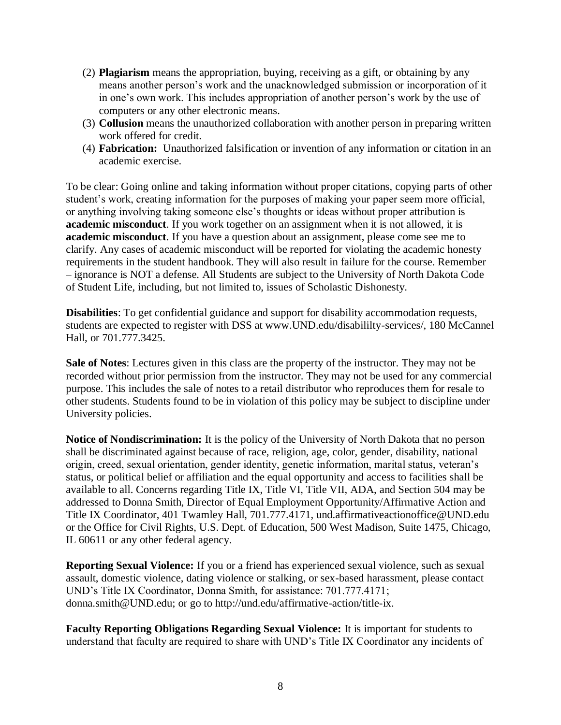- (2) **Plagiarism** means the appropriation, buying, receiving as a gift, or obtaining by any means another person's work and the unacknowledged submission or incorporation of it in one's own work. This includes appropriation of another person's work by the use of computers or any other electronic means.
- (3) **Collusion** means the unauthorized collaboration with another person in preparing written work offered for credit.
- (4) **Fabrication:** Unauthorized falsification or invention of any information or citation in an academic exercise.

To be clear: Going online and taking information without proper citations, copying parts of other student's work, creating information for the purposes of making your paper seem more official, or anything involving taking someone else's thoughts or ideas without proper attribution is **academic misconduct**. If you work together on an assignment when it is not allowed, it is **academic misconduct**. If you have a question about an assignment, please come see me to clarify. Any cases of academic misconduct will be reported for violating the academic honesty requirements in the student handbook. They will also result in failure for the course. Remember – ignorance is NOT a defense. All Students are subject to the University of North Dakota Code of Student Life, including, but not limited to, issues of Scholastic Dishonesty.

**Disabilities**: To get confidential guidance and support for disability accommodation requests, students are expected to register with DSS at www.UND.edu/disabililty-services/, 180 McCannel Hall, or 701.777.3425.

**Sale of Notes**: Lectures given in this class are the property of the instructor. They may not be recorded without prior permission from the instructor. They may not be used for any commercial purpose. This includes the sale of notes to a retail distributor who reproduces them for resale to other students. Students found to be in violation of this policy may be subject to discipline under University policies.

**Notice of Nondiscrimination:** It is the policy of the University of North Dakota that no person shall be discriminated against because of race, religion, age, color, gender, disability, national origin, creed, sexual orientation, gender identity, genetic information, marital status, veteran's status, or political belief or affiliation and the equal opportunity and access to facilities shall be available to all. Concerns regarding Title IX, Title VI, Title VII, ADA, and Section 504 may be addressed to Donna Smith, Director of Equal Employment Opportunity/Affirmative Action and Title IX Coordinator, 401 Twamley Hall, 701.777.4171, und.affirmativeactionoffice@UND.edu or the Office for Civil Rights, U.S. Dept. of Education, 500 West Madison, Suite 1475, Chicago, IL 60611 or any other federal agency.

**Reporting Sexual Violence:** If you or a friend has experienced sexual violence, such as sexual assault, domestic violence, dating violence or stalking, or sex-based harassment, please contact UND's Title IX Coordinator, Donna Smith, for assistance: 701.777.4171; donna.smith@UND.edu; or go to http://und.edu/affirmative-action/title-ix.

**Faculty Reporting Obligations Regarding Sexual Violence:** It is important for students to understand that faculty are required to share with UND's Title IX Coordinator any incidents of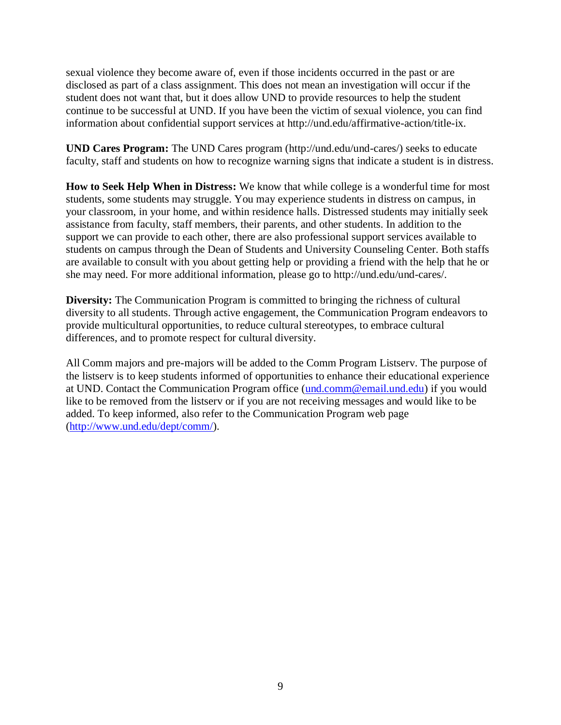sexual violence they become aware of, even if those incidents occurred in the past or are disclosed as part of a class assignment. This does not mean an investigation will occur if the student does not want that, but it does allow UND to provide resources to help the student continue to be successful at UND. If you have been the victim of sexual violence, you can find information about confidential support services at http://und.edu/affirmative-action/title-ix.

**UND Cares Program:** The UND Cares program (http://und.edu/und-cares/) seeks to educate faculty, staff and students on how to recognize warning signs that indicate a student is in distress.

**How to Seek Help When in Distress:** We know that while college is a wonderful time for most students, some students may struggle. You may experience students in distress on campus, in your classroom, in your home, and within residence halls. Distressed students may initially seek assistance from faculty, staff members, their parents, and other students. In addition to the support we can provide to each other, there are also professional support services available to students on campus through the Dean of Students and University Counseling Center. Both staffs are available to consult with you about getting help or providing a friend with the help that he or she may need. For more additional information, please go to http://und.edu/und-cares/.

**Diversity:** The Communication Program is committed to bringing the richness of cultural diversity to all students. Through active engagement, the Communication Program endeavors to provide multicultural opportunities, to reduce cultural stereotypes, to embrace cultural differences, and to promote respect for cultural diversity.

All Comm majors and pre-majors will be added to the Comm Program Listserv. The purpose of the listserv is to keep students informed of opportunities to enhance their educational experience at UND. Contact the Communication Program office [\(und.comm@email.und.edu\)](mailto:und.comm@email.und.edu) if you would like to be removed from the listserv or if you are not receiving messages and would like to be added. To keep informed, also refer to the Communication Program web page [\(http://www.und.edu/dept/comm/\)](http://www.und.edu/dept/comm/).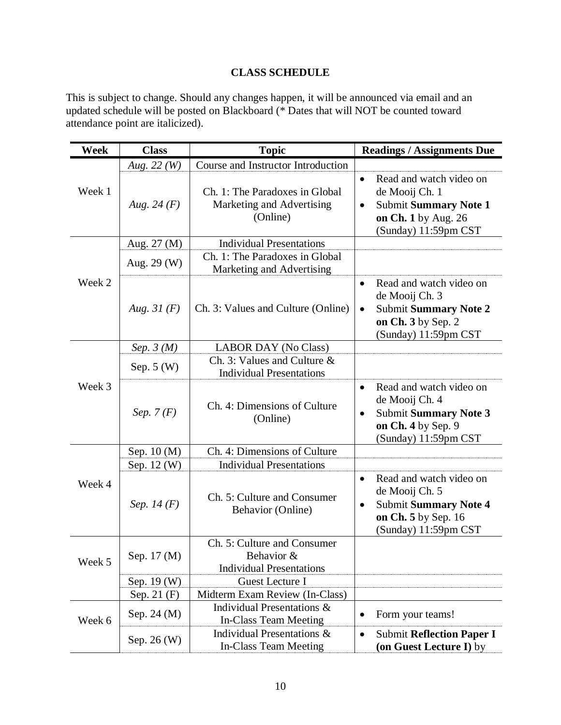# **CLASS SCHEDULE**

This is subject to change. Should any changes happen, it will be announced via email and an updated schedule will be posted on Blackboard (\* Dates that will NOT be counted toward attendance point are italicized).

| Week   | <b>Class</b>  | <b>Topic</b>                                                                 | <b>Readings / Assignments Due</b>                                                                                                                  |
|--------|---------------|------------------------------------------------------------------------------|----------------------------------------------------------------------------------------------------------------------------------------------------|
|        | Aug. 22 $(W)$ | Course and Instructor Introduction                                           |                                                                                                                                                    |
| Week 1 | Aug. 24 $(F)$ | Ch. 1: The Paradoxes in Global<br>Marketing and Advertising<br>(Online)      | Read and watch video on<br>$\bullet$<br>de Mooij Ch. 1<br><b>Submit Summary Note 1</b><br>$\bullet$<br>on Ch. 1 by Aug. 26<br>(Sunday) 11:59pm CST |
|        | Aug. 27 (M)   | <b>Individual Presentations</b>                                              |                                                                                                                                                    |
| Week 2 | Aug. 29 (W)   | Ch. 1: The Paradoxes in Global<br>Marketing and Advertising                  |                                                                                                                                                    |
|        | Aug. $31(F)$  | Ch. 3: Values and Culture (Online)                                           | Read and watch video on<br>$\bullet$<br>de Mooij Ch. 3<br><b>Submit Summary Note 2</b><br>$\bullet$<br>on Ch. 3 by Sep. 2<br>(Sunday) 11:59pm CST  |
|        | Sep. $3(M)$   | <b>LABOR DAY (No Class)</b>                                                  |                                                                                                                                                    |
| Week 3 | Sep. $5(W)$   | Ch. 3: Values and Culture $\&$<br><b>Individual Presentations</b>            |                                                                                                                                                    |
|        | Sep. $7(F)$   | Ch. 4: Dimensions of Culture<br>(Online)                                     | Read and watch video on<br>$\bullet$<br>de Mooij Ch. 4<br><b>Submit Summary Note 3</b><br>$\bullet$<br>on Ch. 4 by Sep. 9<br>(Sunday) 11:59pm CST  |
|        | Sep. 10 (M)   | Ch. 4: Dimensions of Culture                                                 |                                                                                                                                                    |
|        | Sep. 12 (W)   | <b>Individual Presentations</b>                                              |                                                                                                                                                    |
| Week 4 | Sep. 14 $(F)$ | Ch. 5: Culture and Consumer<br><b>Behavior</b> (Online)                      | Read and watch video on<br>$\bullet$<br>de Mooij Ch. 5<br><b>Submit Summary Note 4</b><br>$\bullet$<br>on Ch. 5 by Sep. 16<br>(Sunday) 11:59pm CST |
| Week 5 | Sep. 17 (M)   | Ch. 5: Culture and Consumer<br>Behavior &<br><b>Individual Presentations</b> |                                                                                                                                                    |
|        | Sep. 19 (W)   | <b>Guest Lecture I</b>                                                       |                                                                                                                                                    |
|        | Sep. 21 (F)   | Midterm Exam Review (In-Class)                                               |                                                                                                                                                    |
| Week 6 | Sep. 24 (M)   | Individual Presentations &<br>In-Class Team Meeting                          | Form your teams!<br>$\bullet$                                                                                                                      |
|        | Sep. 26 (W)   | Individual Presentations &<br><b>In-Class Team Meeting</b>                   | <b>Submit Reflection Paper I</b><br>$\bullet$<br>(on Guest Lecture I) by                                                                           |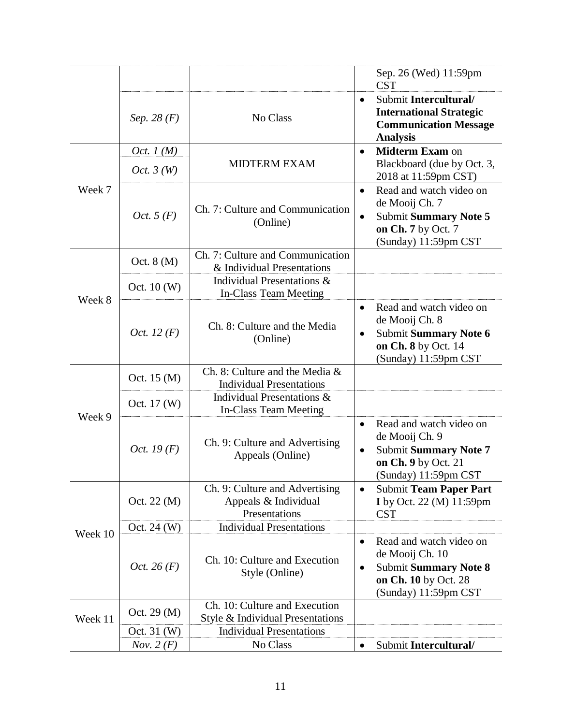|         |                       |                                                                         | Sep. 26 (Wed) 11:59pm<br><b>CST</b>                                                                                                                  |
|---------|-----------------------|-------------------------------------------------------------------------|------------------------------------------------------------------------------------------------------------------------------------------------------|
|         | Sep. 28 $(F)$         | No Class                                                                | Submit Intercultural/<br>$\bullet$<br><b>International Strategic</b><br><b>Communication Message</b><br><b>Analysis</b>                              |
|         | Oct. $1(M)$           |                                                                         | <b>Midterm Exam on</b><br>$\bullet$                                                                                                                  |
| Week 7  | Oct. $3(W)$           | <b>MIDTERM EXAM</b>                                                     | Blackboard (due by Oct. 3,<br>2018 at 11:59pm CST)                                                                                                   |
|         | Oct. $5(F)$           | Ch. 7: Culture and Communication<br>(Online)                            | Read and watch video on<br>$\bullet$<br>de Mooij Ch. 7<br><b>Submit Summary Note 5</b><br>$\bullet$<br>on Ch. 7 by Oct. 7<br>(Sunday) 11:59pm CST    |
| Week 8  | Oct. $8(M)$           | Ch. 7: Culture and Communication<br>& Individual Presentations          |                                                                                                                                                      |
|         | Oct. $10(W)$          | Individual Presentations &<br>In-Class Team Meeting                     |                                                                                                                                                      |
|         | <i>Oct.</i> 12 $(F)$  | Ch. 8: Culture and the Media<br>(Online)                                | Read and watch video on<br>$\bullet$<br>de Mooij Ch. 8<br><b>Submit Summary Note 6</b><br>$\bullet$<br>on Ch. 8 by Oct. 14<br>(Sunday) 11:59pm CST   |
|         | Oct. 15 (M)           | Ch. 8: Culture and the Media &<br><b>Individual Presentations</b>       |                                                                                                                                                      |
|         | Oct. 17 (W)           | Individual Presentations &<br>In-Class Team Meeting                     |                                                                                                                                                      |
| Week 9  | <i>Oct.</i> 19 $(F)$  | Ch. 9: Culture and Advertising<br>Appeals (Online)                      | Read and watch video on<br>$\bullet$<br>de Mooij Ch. 9<br><b>Submit Summary Note 7</b><br>$\bullet$<br>on Ch. 9 by Oct. 21<br>(Sunday) 11:59pm CST   |
| Week 10 | Oct. 22 (M)           | Ch. 9: Culture and Advertising<br>Appeals & Individual<br>Presentations | <b>Submit Team Paper Part</b><br>$\bullet$<br>I by Oct. 22 (M) 11:59pm<br><b>CST</b>                                                                 |
|         | Oct. 24 (W)           | <b>Individual Presentations</b>                                         |                                                                                                                                                      |
|         | <i>Oct.</i> 26 $(F)$  | Ch. 10: Culture and Execution<br>Style (Online)                         | Read and watch video on<br>$\bullet$<br>de Mooij Ch. 10<br><b>Submit Summary Note 8</b><br>$\bullet$<br>on Ch. 10 by Oct. 28<br>(Sunday) 11:59pm CST |
| Week 11 | Oct. $29 \text{ (M)}$ | Ch. 10: Culture and Execution<br>Style & Individual Presentations       |                                                                                                                                                      |
|         | Oct. 31 (W)           | <b>Individual Presentations</b>                                         |                                                                                                                                                      |
|         | Nov. $2(F)$           | No Class                                                                | Submit Intercultural/<br>$\bullet$                                                                                                                   |